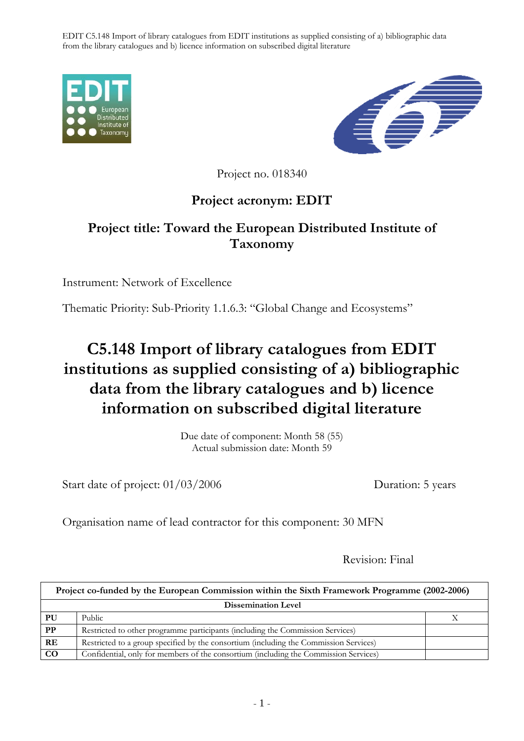EDIT C5.148 Import of library catalogues from EDIT institutions as supplied consisting of a) bibliographic data from the library catalogues and b) licence information on subscribed digital literature





Project no. 018340

## **Project acronym: EDIT**

## **Project title: Toward the European Distributed Institute of Taxonomy**

Instrument: Network of Excellence

Thematic Priority: Sub-Priority 1.1.6.3: "Global Change and Ecosystems"

## **C5.148 Import of library catalogues from EDIT institutions as supplied consisting of a) bibliographic data from the library catalogues and b) licence information on subscribed digital literature**

Due date of component: Month 58 (55) Actual submission date: Month 59

Start date of project:  $01/03/2006$  Duration: 5 years

Organisation name of lead contractor for this component: 30 MFN

Revision: Final

| Project co-funded by the European Commission within the Sixth Framework Programme (2002-2006) |                                                                                       |  |
|-----------------------------------------------------------------------------------------------|---------------------------------------------------------------------------------------|--|
| <b>Dissemination Level</b>                                                                    |                                                                                       |  |
| PU                                                                                            | Public                                                                                |  |
| PP                                                                                            | Restricted to other programme participants (including the Commission Services)        |  |
| RE                                                                                            | Restricted to a group specified by the consortium (including the Commission Services) |  |
| $\bf CO$                                                                                      | Confidential, only for members of the consortium (including the Commission Services)  |  |